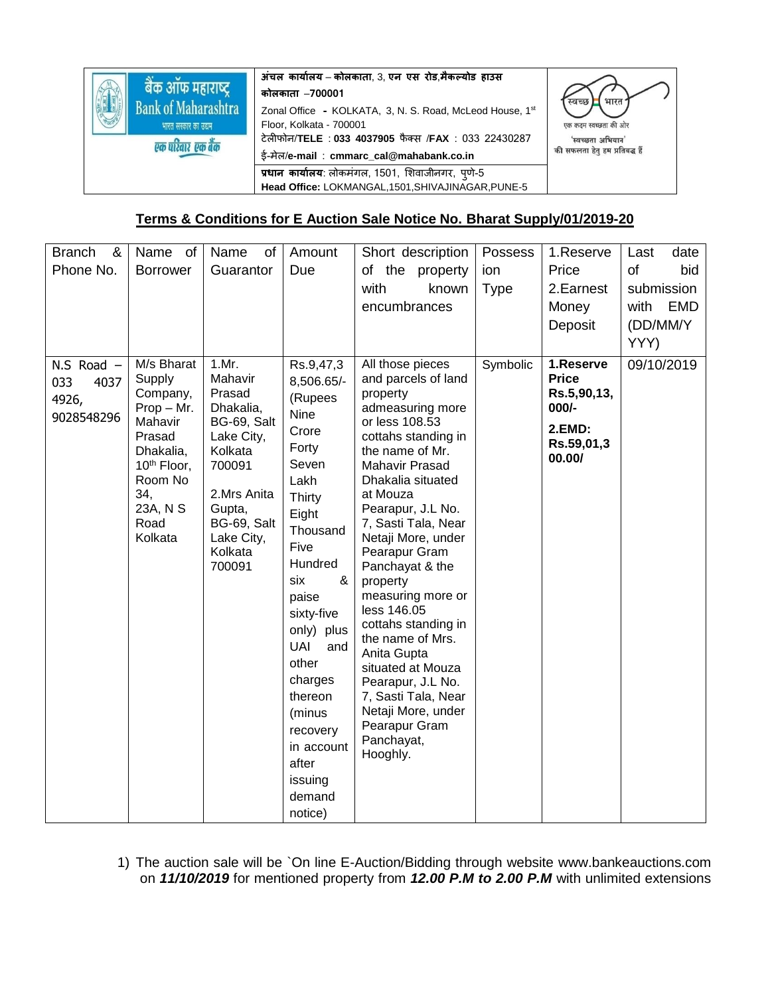|                            | अंचल कार्यालय – कोलकाता, 3, एन एस रोड,मैकल्योड हाउस      | स्वच्छ<br>भारत                 |  |  |
|----------------------------|----------------------------------------------------------|--------------------------------|--|--|
| बैक ऑफ महाराष्ट्र          | कोलकाता –700001                                          |                                |  |  |
| <b>Bank of Maharashtra</b> | Zonal Office - KOLKATA, 3, N. S. Road, McLeod House, 1st |                                |  |  |
| भारत सरकार का उद्यम.       | Floor, Kolkata - 700001                                  | एक कदम स्वच्छता की ओर          |  |  |
|                            | टेलीफोन/TELE: 033 4037905 फैक्स /FAX: 033 22430287       | 'स्वच्छता अभियान'              |  |  |
| एक परिवार एक बैंक          | ई-मेल/e-mail: cmmarc_cal@mahabank.co.in                  | की सफलता हेतु हम प्रतिबद्ध हैं |  |  |
|                            | प्रधान कार्यालय: लोकमंगल, 1501, शिवाजीनगर, पुणे-5        |                                |  |  |
|                            | Head Office: LOKMANGAL, 1501, SHIVAJINAGAR, PUNE-5       |                                |  |  |

## **Terms & Conditions for E Auction Sale Notice No. Bharat Supply/01/2019-20**

| <b>Branch</b><br>& | Name of                  | Name<br>of        | Amount            | Short description                 | Possess     | 1.Reserve    | date<br>Last       |
|--------------------|--------------------------|-------------------|-------------------|-----------------------------------|-------------|--------------|--------------------|
| Phone No.          | <b>Borrower</b>          | Guarantor         | Due               | of the property                   | ion         | Price        | of<br>bid          |
|                    |                          |                   |                   | with<br>known                     | <b>Type</b> | 2. Earnest   | submission         |
|                    |                          |                   |                   | encumbrances                      |             | Money        | <b>EMD</b><br>with |
|                    |                          |                   |                   |                                   |             | Deposit      | (DD/MM/Y           |
|                    |                          |                   |                   |                                   |             |              | YYY)               |
| $N.S$ Road $-$     | M/s Bharat               | 1.Mr.             | Rs.9,47,3         | All those pieces                  | Symbolic    | 1.Reserve    | 09/10/2019         |
| 033<br>4037        | Supply                   | Mahavir           | 8,506.65/-        | and parcels of land               |             | <b>Price</b> |                    |
|                    | Company,                 | Prasad            | (Rupees           | property                          |             | Rs.5,90,13,  |                    |
| 4926,              | $Prop - Mr.$             | Dhakalia,         | Nine              | admeasuring more                  |             | 000/-        |                    |
| 9028548296         | Mahavir                  | BG-69, Salt       | Crore             | or less 108.53                    |             | 2.EMD:       |                    |
|                    | Prasad                   | Lake City,        | Forty             | cottahs standing in               |             | Rs.59,01,3   |                    |
|                    | Dhakalia,<br>10th Floor, | Kolkata<br>700091 | Seven             | the name of Mr.<br>Mahavir Prasad |             | 00.00/       |                    |
|                    | Room No                  |                   | Lakh              | Dhakalia situated                 |             |              |                    |
|                    | 34,                      | 2.Mrs Anita       | Thirty            | at Mouza                          |             |              |                    |
|                    | 23A, N S                 | Gupta,            | Eight             | Pearapur, J.L No.                 |             |              |                    |
|                    | Road                     | BG-69, Salt       | Thousand          | 7, Sasti Tala, Near               |             |              |                    |
|                    | Kolkata                  | Lake City,        | Five              | Netaji More, under                |             |              |                    |
|                    |                          | Kolkata<br>700091 | Hundred           | Pearapur Gram<br>Panchayat & the  |             |              |                    |
|                    |                          |                   | &<br>six          | property                          |             |              |                    |
|                    |                          |                   | paise             | measuring more or                 |             |              |                    |
|                    |                          |                   | sixty-five        | less 146.05                       |             |              |                    |
|                    |                          |                   | only) plus        | cottahs standing in               |             |              |                    |
|                    |                          |                   | <b>UAI</b><br>and | the name of Mrs.                  |             |              |                    |
|                    |                          |                   | other             | Anita Gupta<br>situated at Mouza  |             |              |                    |
|                    |                          |                   | charges           | Pearapur, J.L No.                 |             |              |                    |
|                    |                          |                   | thereon           | 7, Sasti Tala, Near               |             |              |                    |
|                    |                          |                   | (minus            | Netaji More, under                |             |              |                    |
|                    |                          |                   | recovery          | Pearapur Gram                     |             |              |                    |
|                    |                          |                   | in account        | Panchayat,<br>Hooghly.            |             |              |                    |
|                    |                          |                   | after             |                                   |             |              |                    |
|                    |                          |                   | issuing           |                                   |             |              |                    |
|                    |                          |                   | demand            |                                   |             |              |                    |
|                    |                          |                   | notice)           |                                   |             |              |                    |

1) The auction sale will be `On line E-Auction/Bidding through website www.bankeauctions.com on *11/10/2019* for mentioned property from *12.00 P.M to 2.00 P.M* with unlimited extensions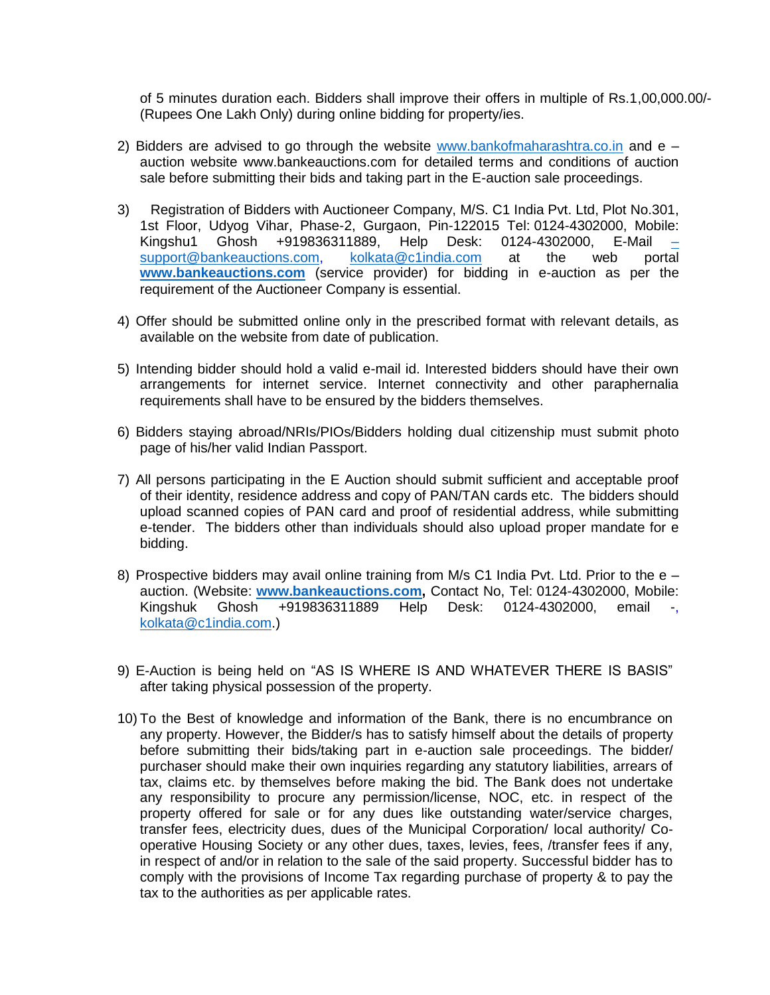of 5 minutes duration each. Bidders shall improve their offers in multiple of Rs.1,00,000.00/- (Rupees One Lakh Only) during online bidding for property/ies.

- 2) Bidders are advised to go through the website [www.bankofmaharashtra.co.in](http://www.bankofmaharashtra.co.in/) and  $e$ auction website www.bankeauctions.com for detailed terms and conditions of auction sale before submitting their bids and taking part in the E-auction sale proceedings.
- 3) Registration of Bidders with Auctioneer Company, M/S. C1 India Pvt. Ltd, Plot No.301, 1st Floor, Udyog Vihar, Phase-2, Gurgaon, Pin-122015 Tel: 0124-4302000, Mobile: Kingshu1 Ghosh +919836311889, Help Desk: 0124-4302000, E-Mail [–](mailto:–support@bankeauctions.com) [support@bankeauctions.com,](mailto:–support@bankeauctions.com) [kolkata@c1india.com](mailto:kolkata@c1india.com) at the web portal **[www.bankeauctions.com](http://www.bankeauctions.com/)** (service provider) for bidding in e-auction as per the requirement of the Auctioneer Company is essential.
- 4) Offer should be submitted online only in the prescribed format with relevant details, as available on the website from date of publication.
- 5) Intending bidder should hold a valid e-mail id. Interested bidders should have their own arrangements for internet service. Internet connectivity and other paraphernalia requirements shall have to be ensured by the bidders themselves.
- 6) Bidders staying abroad/NRIs/PIOs/Bidders holding dual citizenship must submit photo page of his/her valid Indian Passport.
- 7) All persons participating in the E Auction should submit sufficient and acceptable proof of their identity, residence address and copy of PAN/TAN cards etc. The bidders should upload scanned copies of PAN card and proof of residential address, while submitting e-tender. The bidders other than individuals should also upload proper mandate for e bidding.
- 8) Prospective bidders may avail online training from M/s C1 India Pvt. Ltd. Prior to the  $e$ auction. (Website: **[www.bankeauctions.com,](http://www.bankeauctions.com/)** Contact No, Tel: 0124-4302000, Mobile: Kingshuk Ghosh +919836311889 Help Desk: 0124-4302000, email -, [kolkata@c1india.com.](mailto:kolkata@c1india.com))
- 9) E-Auction is being held on "AS IS WHERE IS AND WHATEVER THERE IS BASIS" after taking physical possession of the property.
- 10) To the Best of knowledge and information of the Bank, there is no encumbrance on any property. However, the Bidder/s has to satisfy himself about the details of property before submitting their bids/taking part in e-auction sale proceedings. The bidder/ purchaser should make their own inquiries regarding any statutory liabilities, arrears of tax, claims etc. by themselves before making the bid. The Bank does not undertake any responsibility to procure any permission/license, NOC, etc. in respect of the property offered for sale or for any dues like outstanding water/service charges, transfer fees, electricity dues, dues of the Municipal Corporation/ local authority/ Cooperative Housing Society or any other dues, taxes, levies, fees, /transfer fees if any, in respect of and/or in relation to the sale of the said property. Successful bidder has to comply with the provisions of Income Tax regarding purchase of property & to pay the tax to the authorities as per applicable rates.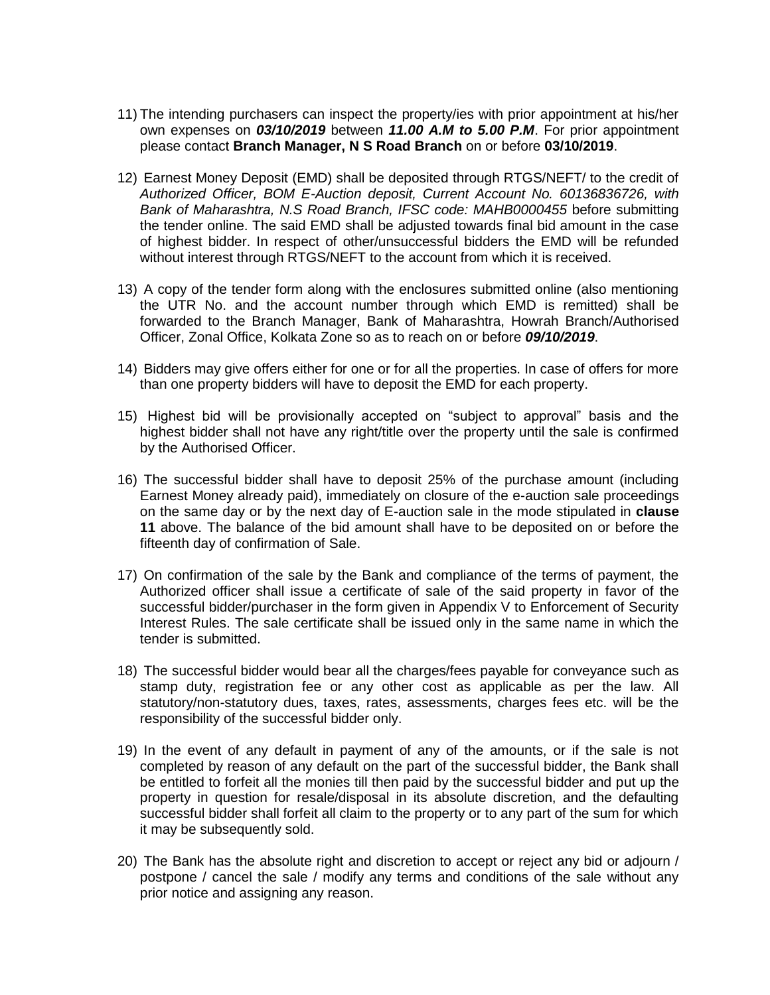- 11) The intending purchasers can inspect the property/ies with prior appointment at his/her own expenses on *03/10/2019* between *11.00 A.M to 5.00 P.M*. For prior appointment please contact **Branch Manager, N S Road Branch** on or before **03/10/2019**.
- 12) Earnest Money Deposit (EMD) shall be deposited through RTGS/NEFT/ to the credit of *Authorized Officer, BOM E-Auction deposit, Current Account No. 60136836726, with Bank of Maharashtra, N.S Road Branch, IFSC code: MAHB0000455* before submitting the tender online. The said EMD shall be adjusted towards final bid amount in the case of highest bidder. In respect of other/unsuccessful bidders the EMD will be refunded without interest through RTGS/NEFT to the account from which it is received.
- 13) A copy of the tender form along with the enclosures submitted online (also mentioning the UTR No. and the account number through which EMD is remitted) shall be forwarded to the Branch Manager, Bank of Maharashtra, Howrah Branch/Authorised Officer, Zonal Office, Kolkata Zone so as to reach on or before *09/10/2019*.
- 14) Bidders may give offers either for one or for all the properties. In case of offers for more than one property bidders will have to deposit the EMD for each property.
- 15) Highest bid will be provisionally accepted on "subject to approval" basis and the highest bidder shall not have any right/title over the property until the sale is confirmed by the Authorised Officer.
- 16) The successful bidder shall have to deposit 25% of the purchase amount (including Earnest Money already paid), immediately on closure of the e-auction sale proceedings on the same day or by the next day of E-auction sale in the mode stipulated in **clause 11** above. The balance of the bid amount shall have to be deposited on or before the fifteenth day of confirmation of Sale.
- 17) On confirmation of the sale by the Bank and compliance of the terms of payment, the Authorized officer shall issue a certificate of sale of the said property in favor of the successful bidder/purchaser in the form given in Appendix V to Enforcement of Security Interest Rules. The sale certificate shall be issued only in the same name in which the tender is submitted.
- 18) The successful bidder would bear all the charges/fees payable for conveyance such as stamp duty, registration fee or any other cost as applicable as per the law. All statutory/non-statutory dues, taxes, rates, assessments, charges fees etc. will be the responsibility of the successful bidder only.
- 19) In the event of any default in payment of any of the amounts, or if the sale is not completed by reason of any default on the part of the successful bidder, the Bank shall be entitled to forfeit all the monies till then paid by the successful bidder and put up the property in question for resale/disposal in its absolute discretion, and the defaulting successful bidder shall forfeit all claim to the property or to any part of the sum for which it may be subsequently sold.
- 20) The Bank has the absolute right and discretion to accept or reject any bid or adjourn / postpone / cancel the sale / modify any terms and conditions of the sale without any prior notice and assigning any reason.